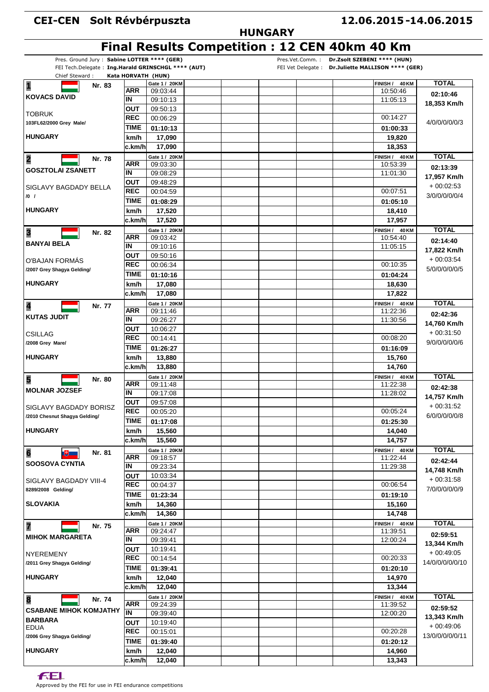## **CEI-CEN Solt Révbérpuszta**

## **HUNGARY**

|                                                                      |                    |                           |  |                 | Final Results Competition : 12 CEN 40km 40 Km |                                                   |                         |
|----------------------------------------------------------------------|--------------------|---------------------------|--|-----------------|-----------------------------------------------|---------------------------------------------------|-------------------------|
| Pres. Ground Jury: Sabine LOTTER **** (GER)                          |                    |                           |  | Pres.Vet.Comm.: | Dr.Zsolt SZEBENI **** (HUN)                   |                                                   |                         |
| FEI Tech.Delegate: Ing.Harald GRINSCHGL **** (AUT)<br>Chief Steward: | Kata HORVATH (HUN) |                           |  |                 |                                               | FEI Vet Delegate: Dr.Juliette MALLISON **** (GER) |                         |
| $\overline{\mathbf{1}}$<br>Nr. 83                                    |                    | Gate 1 / 20KM             |  |                 |                                               | FINISH / 40 KM                                    | <b>TOTAL</b>            |
|                                                                      | ARR                | 09:03:44                  |  |                 |                                               | 10:50:46                                          | 02:10:46                |
| <b>KOVACS DAVID</b>                                                  | ΙN                 | 09:10:13                  |  |                 |                                               | 11:05:13                                          | 18,353 Km/h             |
| <b>TOBRUK</b>                                                        | ΟUΤ                | 09:50:13                  |  |                 |                                               |                                                   |                         |
| 103FL62/2000 Grey Male/                                              | <b>REC</b>         | 00:06:29                  |  |                 |                                               | 00:14:27                                          | 4/0/0/0/0/0/3           |
|                                                                      | TIME               | 01:10:13                  |  |                 |                                               | 01:00:33                                          |                         |
| <b>HUNGARY</b>                                                       | km/h               | 17,090                    |  |                 |                                               | 19,820                                            |                         |
|                                                                      | c.km/h             | 17,090                    |  |                 |                                               | 18,353                                            |                         |
| $\overline{\mathbf{2}}$<br>Nr. 78                                    | <b>ARR</b>         | Gate 1 / 20KM<br>09:03:30 |  |                 |                                               | FINISH /<br>40 KM<br>10:53:39                     | <b>TOTAL</b>            |
| <b>GOSZTOLAI ZSANETT</b>                                             | IN                 | 09:08:29                  |  |                 |                                               | 11:01:30                                          | 02:13:39                |
|                                                                      | <b>OUT</b>         | 09:48:29                  |  |                 |                                               |                                                   | 17,957 Km/h             |
| SIGLAVY BAGDADY BELLA                                                | <b>REC</b>         | 00:04:59                  |  |                 |                                               | 00:07:51                                          | $+00:02:53$             |
| $/0$ /                                                               | TIME               | 01:08:29                  |  |                 |                                               | 01:05:10                                          | 3/0/0/0/0/0/4           |
| <b>HUNGARY</b>                                                       | km/h               | 17,520                    |  |                 |                                               | 18,410                                            |                         |
|                                                                      | c.km/h             | 17,520                    |  |                 |                                               | 17,957                                            |                         |
|                                                                      |                    | Gate 1 / 20KM             |  |                 |                                               | FINISH / 40 KM                                    | <b>TOTAL</b>            |
| 3<br>Nr. 82                                                          | <b>ARR</b>         | 09:03:42                  |  |                 |                                               | 10:54:40                                          | 02:14:40                |
| <b>BANYAI BELA</b>                                                   | IN                 | 09:10:16                  |  |                 |                                               | 11:05:15                                          | 17,822 Km/h             |
| O'BAJAN FORMÁS                                                       | ΟUΤ                | 09:50:16                  |  |                 |                                               |                                                   | $+00:03:54$             |
| /2007 Grey Shagya Gelding/                                           | <b>REC</b>         | 00:06:34                  |  |                 |                                               | 00:10:35                                          | 5/0/0/0/0/0/5           |
|                                                                      | TIME               | 01:10:16                  |  |                 |                                               | 01:04:24                                          |                         |
| <b>HUNGARY</b>                                                       | km/h               | 17,080                    |  |                 |                                               | 18,630                                            |                         |
|                                                                      | c.km/hl            | 17,080                    |  |                 |                                               | 17,822                                            |                         |
| 4<br>Nr. 77                                                          |                    | Gate 1 / 20KM             |  |                 |                                               | FINISH / 40 KM                                    | <b>TOTAL</b>            |
| <b>KUTAS JUDIT</b>                                                   | <b>ARR</b>         | 09:11:46                  |  |                 |                                               | 11:22:36                                          | 02:42:36                |
|                                                                      | IN                 | 09:26:27                  |  |                 |                                               | 11:30:56                                          | 14,760 Km/h             |
| <b>CSILLAG</b>                                                       | ΟUΤ<br><b>REC</b>  | 10:06:27                  |  |                 |                                               |                                                   | $+00.31.50$             |
| /2008 Grey Mare/                                                     |                    | 00:14:41                  |  |                 |                                               | 00:08:20                                          | 9/0/0/0/0/0/6           |
| <b>HUNGARY</b>                                                       | <b>TIME</b>        | 01:26:27                  |  |                 |                                               | 01:16:09                                          |                         |
|                                                                      | km/h               | 13,880                    |  |                 |                                               | 15,760                                            |                         |
|                                                                      | c.km/h             | 13,880                    |  |                 |                                               | 14,760                                            |                         |
| 5<br>Nr. 80                                                          | <b>ARR</b>         | Gate 1 / 20KM<br>09:11:48 |  |                 |                                               | FINISH / 40 KM<br>11:22:38                        | <b>TOTAL</b>            |
| <b>MOLNAR JOZSEF</b>                                                 | IN                 | 09:17:08                  |  |                 |                                               | 11:28:02                                          | 02:42:38                |
|                                                                      | OUT                | 09:57:08                  |  |                 |                                               |                                                   | 14,757 Km/h             |
| SIGLAVY BAGDADY BORISZ                                               | <b>REC</b>         | 00:05:20                  |  |                 |                                               | 00:05:24                                          | $+00:31:52$             |
| /2010 Chesnut Shagya Gelding/                                        | <b>TIME</b>        | 01:17:08                  |  |                 |                                               | 01:25:30                                          | 6/0/0/0/0/0/8           |
| <b>HUNGARY</b>                                                       | km/h               | 15,560                    |  |                 |                                               | 14,040                                            |                         |
|                                                                      | c.km/h             | 15,560                    |  |                 |                                               | 14,757                                            |                         |
| $\overline{6}$<br>Nr. 81<br>$\mathbb{R}^+$                           |                    | Gate 1 / 20KM             |  |                 |                                               | FINISH / 40 KM                                    | <b>TOTAL</b>            |
|                                                                      | <b>ARR</b>         | 09:18:57                  |  |                 |                                               | 11:22:44                                          | 02:42:44                |
| <b>SOOSOVA CYNTIA</b>                                                | IN                 | 09:23:34                  |  |                 |                                               | 11:29:38                                          | 14,748 Km/h             |
| SIGLAVY BAGDADY VIII-4                                               | <b>OUT</b>         | 10:03:34                  |  |                 |                                               |                                                   | $+00:31:58$             |
| 8289/2008 Gelding/                                                   | <b>REC</b>         | 00:04:37                  |  |                 |                                               | 00:06:54                                          | 7/0/0/0/0/0/9           |
|                                                                      | <b>TIME</b>        | 01:23:34                  |  |                 |                                               | 01:19:10                                          |                         |
| <b>SLOVAKIA</b>                                                      | km/h               | 14,360                    |  |                 |                                               | 15,160                                            |                         |
|                                                                      | c.km/h             | 14,360                    |  |                 |                                               | 14,748                                            |                         |
| 7<br>Nr. 75                                                          |                    | Gate 1 / 20KM             |  |                 |                                               | FINISH / 40 KM                                    | <b>TOTAL</b>            |
| <b>MIHOK MARGARETA</b>                                               | <b>ARR</b>         | 09:24:47                  |  |                 |                                               | 11:39:51                                          | 02:59:51                |
|                                                                      | IN<br><b>OUT</b>   | 09:39:41<br>10:19:41      |  |                 |                                               | 12:00:24                                          | 13,344 Km/h             |
| NYEREMENY                                                            | <b>REC</b>         | 00:14:54                  |  |                 |                                               | 00:20:33                                          | $+00:49:05$             |
| /2011 Grey Shagya Gelding/                                           | TIME               |                           |  |                 |                                               |                                                   | 14/0/0/0/0/0/10         |
| <b>HUNGARY</b>                                                       |                    | 01:39:41                  |  |                 |                                               | 01:20:10                                          |                         |
|                                                                      | km/h<br>c.km/h     | 12,040<br>12,040          |  |                 |                                               | 14,970<br>13,344                                  |                         |
|                                                                      |                    | Gate 1 / 20KM             |  |                 |                                               | FINISH / 40 KM                                    | <b>TOTAL</b>            |
| $\overline{\mathbf{8}}$<br>Nr. 74                                    | <b>ARR</b>         | 09:24:39                  |  |                 |                                               | 11:39:52                                          | 02:59:52<br>13,343 Km/h |
| <b>CSABANE MIHOK KOMJATHY</b>                                        | IN                 | 09:39:40                  |  |                 |                                               | 12:00:20                                          |                         |
| <b>BARBARA</b>                                                       | <b>OUT</b>         | 10:19:40                  |  |                 |                                               |                                                   |                         |
| <b>EDUA</b>                                                          | REC                | 00:15:01                  |  |                 |                                               | 00:20:28                                          | $+00:49:06$             |
| /2006 Grey Shagya Gelding/                                           | <b>TIME</b>        | 01:39:40                  |  |                 |                                               | 01:20:12                                          | 13/0/0/0/0/0/11         |
| <b>HUNGARY</b>                                                       | km/h               | 12,040                    |  |                 |                                               | 14,960                                            |                         |
|                                                                      | c.km/h             | 12,040                    |  |                 |                                               | 13,343                                            |                         |
|                                                                      |                    |                           |  |                 |                                               |                                                   |                         |

**FEL** 

Approved by the FEI for use in FEI endurance competitions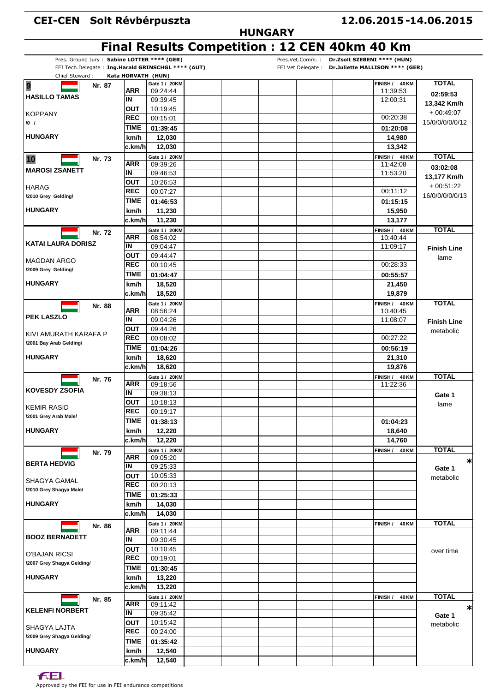## **CEI-CEN Solt Révbérpuszta**

## **HUNGARY**

|                                                    |                    |                           |  |  | <b>Final Results Competition : 12 CEN 40km 40 Km</b> |                                                   |                    |
|----------------------------------------------------|--------------------|---------------------------|--|--|------------------------------------------------------|---------------------------------------------------|--------------------|
| Pres. Ground Jury: Sabine LOTTER **** (GER)        |                    |                           |  |  | Pres.Vet.Comm.: Dr.Zsolt SZEBENI **** (HUN)          |                                                   |                    |
| FEI Tech.Delegate: Ing.Harald GRINSCHGL **** (AUT) |                    |                           |  |  |                                                      | FEI Vet Delegate: Dr.Juliette MALLISON **** (GER) |                    |
| Chief Steward:                                     | Kata HORVATH (HUN) |                           |  |  |                                                      |                                                   | <b>TOTAL</b>       |
| 9<br>Nr. 87                                        | ARR                | Gate 1 / 20KM<br>09:24:44 |  |  |                                                      | FINISH / 40 KM<br>11:39:53                        |                    |
| <b>HASILLO TAMAS</b>                               | IN                 | 09:39:45                  |  |  |                                                      | 12:00:31                                          | 02:59:53           |
|                                                    | OUT                | 10:19:45                  |  |  |                                                      |                                                   | 13,342 Km/h        |
| KOPPANY                                            | <b>REC</b>         | 00:15:01                  |  |  |                                                      | 00:20:38                                          | $+00:49:07$        |
| $/0$ /                                             |                    |                           |  |  |                                                      |                                                   | 15/0/0/0/0/0/12    |
|                                                    | TIME               | 01:39:45                  |  |  |                                                      | 01:20:08                                          |                    |
| <b>HUNGARY</b>                                     | km/h               | 12,030                    |  |  |                                                      | 14,980                                            |                    |
|                                                    | c.km/h             | 12,030                    |  |  |                                                      | 13,342                                            |                    |
| 10<br>Nr. 73                                       |                    | Gate 1 / 20KM             |  |  |                                                      | FINISH / 40 KM                                    | <b>TOTAL</b>       |
| <b>MAROSI ZSANETT</b>                              | <b>ARR</b>         | 09:39:26                  |  |  |                                                      | 11:42:08                                          | 03:02:08           |
|                                                    | IN                 | 09:46:53                  |  |  |                                                      | 11:53:20                                          | 13,177 Km/h        |
|                                                    | OUT                | 10:26:53                  |  |  |                                                      |                                                   | $+00:51:22$        |
| <b>HARAG</b>                                       | <b>REC</b>         | 00:07:27                  |  |  |                                                      | 00:11:12                                          | 16/0/0/0/0/0/13    |
| /2010 Grey Gelding/                                | <b>TIME</b>        | 01:46:53                  |  |  |                                                      | 01:15:15                                          |                    |
| <b>HUNGARY</b>                                     | km/h               | 11,230                    |  |  |                                                      | 15,950                                            |                    |
|                                                    | c.km/h             | 11,230                    |  |  |                                                      | 13,177                                            |                    |
|                                                    |                    | Gate 1 / 20KM             |  |  |                                                      | FINISH / 40 KM                                    | <b>TOTAL</b>       |
| Nr. 72                                             | <b>ARR</b>         | 08:54:02                  |  |  |                                                      | 10:40:44                                          |                    |
| <b>KATAI LAURA DORISZ</b>                          | ΙN                 | 09:04:47                  |  |  |                                                      | 11:09:17                                          |                    |
|                                                    | <b>OUT</b>         | 09:44:47                  |  |  |                                                      |                                                   | <b>Finish Line</b> |
| MAGDAN ARGO                                        | <b>REC</b>         | 00:10:45                  |  |  |                                                      | 00:28:33                                          | lame               |
| /2009 Grey Gelding/                                |                    |                           |  |  |                                                      |                                                   |                    |
|                                                    | <b>TIME</b>        | 01:04:47                  |  |  |                                                      | 00:55:57                                          |                    |
| <b>HUNGARY</b>                                     | km/h               | 18,520                    |  |  |                                                      | 21,450                                            |                    |
|                                                    | c.km/h             | 18,520                    |  |  |                                                      | 19,879                                            |                    |
| Nr. 88                                             |                    | Gate 1 / 20KM             |  |  |                                                      | FINISH / 40 KM                                    | <b>TOTAL</b>       |
| <b>PEK LASZLO</b>                                  | <b>ARR</b>         | 08:56:24                  |  |  |                                                      | 10:40:45                                          |                    |
|                                                    | ΙN                 | 09:04:26                  |  |  |                                                      | 11:08:07                                          | <b>Finish Line</b> |
| KIVI AMURATH KARAFA P                              | <b>OUT</b>         | 09:44:26                  |  |  |                                                      |                                                   | metabolic          |
|                                                    | <b>REC</b>         | 00:08:02                  |  |  |                                                      | 00:27:22                                          |                    |
| /2001 Bay Arab Gelding/                            | <b>TIME</b>        | 01:04:26                  |  |  |                                                      | 00:56:19                                          |                    |
| <b>HUNGARY</b>                                     | km/h               | 18,620                    |  |  |                                                      | 21,310                                            |                    |
|                                                    | c.km/hl            | 18,620                    |  |  |                                                      | 19,876                                            |                    |
|                                                    |                    | Gate 1 / 20KM             |  |  |                                                      | FINISH / 40 KM                                    | <b>TOTAL</b>       |
| Nr. 76                                             | ARR                | 09:18:56                  |  |  |                                                      | 11:22:36                                          |                    |
| <b>KOVESDY ZSOFIA</b>                              | ΙN                 | 09:38:13                  |  |  |                                                      |                                                   |                    |
|                                                    | <b>OUT</b>         | 10:18:13                  |  |  |                                                      |                                                   | Gate 1             |
| <b>KEMIR RASID</b>                                 | REC                | 00:19:17                  |  |  |                                                      |                                                   | lame               |
| /2001 Grey Arab Male/                              | TIME               |                           |  |  |                                                      |                                                   |                    |
|                                                    |                    | 01:38:13                  |  |  |                                                      | 01:04:23                                          |                    |
| <b>HUNGARY</b>                                     | km/h               | 12,220                    |  |  |                                                      | 18,640                                            |                    |
|                                                    | c.km/hl            | 12,220                    |  |  |                                                      | 14,760                                            |                    |
| Nr. 79                                             |                    | Gate 1 / 20KM             |  |  |                                                      | FINISH /<br>40 KM                                 | <b>TOTAL</b>       |
| <b>BERTA HEDVIG</b>                                | ARR                | 09:05:20                  |  |  |                                                      |                                                   | $\ast$             |
|                                                    | IN                 | 09:25:33                  |  |  |                                                      |                                                   | Gate 1             |
| SHAGYA GAMAL                                       | <b>OUT</b>         | 10:05:33                  |  |  |                                                      |                                                   | metabolic          |
|                                                    | <b>REC</b>         | 00:20:13                  |  |  |                                                      |                                                   |                    |
| /2010 Grey Shagya Male/                            | <b>TIME</b>        | 01:25:33                  |  |  |                                                      |                                                   |                    |
| <b>HUNGARY</b>                                     | km/h               | 14,030                    |  |  |                                                      |                                                   |                    |
|                                                    | ∣c.km/hl           | 14,030                    |  |  |                                                      |                                                   |                    |
|                                                    |                    | Gate 1 / 20KM             |  |  |                                                      |                                                   | <b>TOTAL</b>       |
| Nr. 86                                             | <b>ARR</b>         | 09:11:44                  |  |  |                                                      | FINISH /<br><b>40 KM</b>                          |                    |
| <b>BOOZ BERNADETT</b>                              | IN                 | 09:30:45                  |  |  |                                                      |                                                   |                    |
|                                                    | <b>OUT</b>         | 10:10:45                  |  |  |                                                      |                                                   |                    |
| <b>O'BAJAN RICSI</b>                               | <b>REC</b>         |                           |  |  |                                                      |                                                   | over time          |
| /2007 Grey Shagya Gelding/                         |                    | 00:19:01                  |  |  |                                                      |                                                   |                    |
|                                                    | <b>TIME</b>        | 01:30:45                  |  |  |                                                      |                                                   |                    |
| <b>HUNGARY</b>                                     | km/h               | 13,220                    |  |  |                                                      |                                                   |                    |
|                                                    | c.km/hl            | 13,220                    |  |  |                                                      |                                                   |                    |
| Nr. 85                                             |                    | Gate 1 / 20KM             |  |  |                                                      | FINISH /<br>40 KM                                 | <b>TOTAL</b>       |
|                                                    | <b>ARR</b>         | 09:11:42                  |  |  |                                                      |                                                   | ∗                  |
| <b>KELENFI NORBERT</b>                             | ΙN                 | 09:35:42                  |  |  |                                                      |                                                   | Gate 1             |
|                                                    | ΟUΤ                | 10:15:42                  |  |  |                                                      |                                                   | metabolic          |
| SHAGYA LAJTA                                       | <b>REC</b>         | 00:24:00                  |  |  |                                                      |                                                   |                    |
| /2009 Grey Shagya Gelding/                         | <b>TIME</b>        | 01:35:42                  |  |  |                                                      |                                                   |                    |
| <b>HUNGARY</b>                                     | km/h               | 12,540                    |  |  |                                                      |                                                   |                    |
|                                                    |                    |                           |  |  |                                                      |                                                   |                    |
|                                                    | c.km/h             | 12,540                    |  |  |                                                      |                                                   |                    |

**FEL**